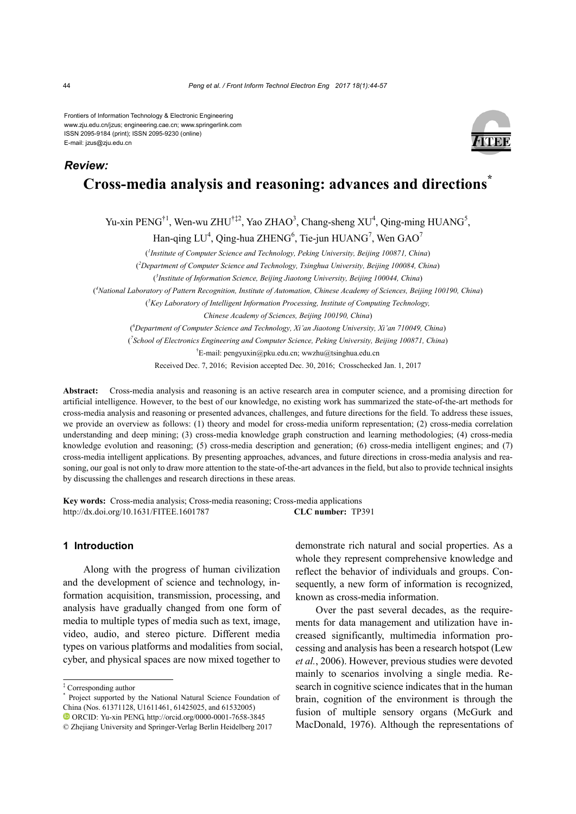Frontiers of Information Technology & Electronic Engineering www.zju.edu.cn/jzus; engineering.cae.cn; www.springerlink.com ISSN 2095-9184 (print); ISSN 2095-9230 (online) E-mail: jzus@zju.edu.cn



# **Cross-media analysis and reasoning: advances and directions\***

Yu-xin PENG<sup>†1</sup>, Wen-wu ZHU<sup>†‡2</sup>, Yao ZHAO<sup>3</sup>, Chang-sheng XU<sup>4</sup>, Qing-ming HUANG<sup>5</sup>,

Han-qing LU<sup>4</sup>, Qing-hua ZHENG<sup>6</sup>, Tie-jun HUANG<sup>7</sup>, Wen GAO<sup>7</sup>

( *1 Institute of Computer Science and Technology, Peking University, Beijing 100871, China*)

( *2 Department of Computer Science and Technology, Tsinghua University, Beijing 100084, China*)

( *3 Institute of Information Science, Beijing Jiaotong University, Beijing 100044, China*)

(<sup>4</sup>National Laboratory of Pattern Recognition, Institute of Automation, Chinese Academy of Sciences, Beijing 100190, China)

( *5 Key Laboratory of Intelligent Information Processing, Institute of Computing Technology,*

*Chinese Academy of Sciences, Beijing 100190, China*)

( *6 Department of Computer Science and Technology, Xi'an Jiaotong University, Xi'an 710049, China*)

( *7 School of Electronics Engineering and Computer Science, Peking University, Beijing 100871, China*)

† E-mail: pengyuxin@pku.edu.cn; wwzhu@tsinghua.edu.cn

Received Dec. 7, 2016; Revision accepted Dec. 30, 2016; Crosschecked Jan. 1, 2017

**Abstract:** Cross-media analysis and reasoning is an active research area in computer science, and a promising direction for artificial intelligence. However, to the best of our knowledge, no existing work has summarized the state-of-the-art methods for cross-media analysis and reasoning or presented advances, challenges, and future directions for the field. To address these issues, we provide an overview as follows: (1) theory and model for cross-media uniform representation; (2) cross-media correlation understanding and deep mining; (3) cross-media knowledge graph construction and learning methodologies; (4) cross-media knowledge evolution and reasoning; (5) cross-media description and generation; (6) cross-media intelligent engines; and (7) cross-media intelligent applications. By presenting approaches, advances, and future directions in cross-media analysis and reasoning, our goal is not only to draw more attention to the state-of-the-art advances in the field, but also to provide technical insights by discussing the challenges and research directions in these areas.

**Key words:** Cross-media analysis; Cross-media reasoning; Cross-media applications http://dx.doi.org/10.1631/FITEE.1601787 **CLC number:** TP391

# **1 Introduction**

Along with the progress of human civilization and the development of science and technology, information acquisition, transmission, processing, and analysis have gradually changed from one form of media to multiple types of media such as text, image, video, audio, and stereo picture. Different media types on various platforms and modalities from social, cyber, and physical spaces are now mixed together to

demonstrate rich natural and social properties. As a whole they represent comprehensive knowledge and reflect the behavior of individuals and groups. Consequently, a new form of information is recognized, known as cross-media information.

Over the past several decades, as the requirements for data management and utilization have increased significantly, multimedia information processing and analysis has been a research hotspot (Lew *et al.*, 2006). However, previous studies were devoted mainly to scenarios involving a single media. Research in cognitive science indicates that in the human brain, cognition of the environment is through the fusion of multiple sensory organs (McGurk and MacDonald, 1976). Although the representations of

*Review:*

<sup>‡</sup> Corresponding author

Project supported by the National Natural Science Foundation of China (Nos. 61371128, U1611461, 61425025, and 61532005) ORCID: Yu-xin PENG, http://orcid.org/0000-0001-7658-3845

<sup>©</sup> Zhejiang University and Springer-Verlag Berlin Heidelberg 2017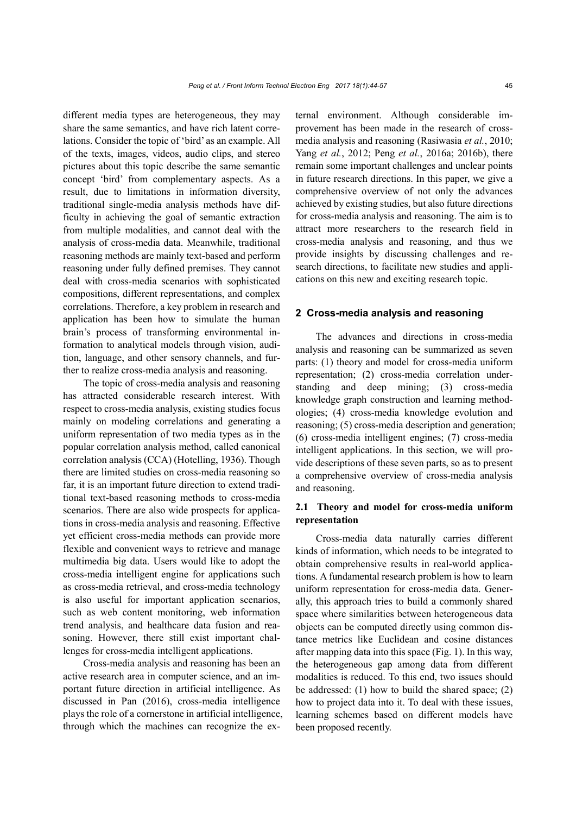different media types are heterogeneous, they may share the same semantics, and have rich latent correlations. Consider the topic of 'bird' as an example. All of the texts, images, videos, audio clips, and stereo pictures about this topic describe the same semantic concept 'bird' from complementary aspects. As a result, due to limitations in information diversity, traditional single-media analysis methods have difficulty in achieving the goal of semantic extraction from multiple modalities, and cannot deal with the analysis of cross-media data. Meanwhile, traditional reasoning methods are mainly text-based and perform reasoning under fully defined premises. They cannot deal with cross-media scenarios with sophisticated compositions, different representations, and complex correlations. Therefore, a key problem in research and application has been how to simulate the human brain's process of transforming environmental information to analytical models through vision, audition, language, and other sensory channels, and further to realize cross-media analysis and reasoning.

The topic of cross-media analysis and reasoning has attracted considerable research interest. With respect to cross-media analysis, existing studies focus mainly on modeling correlations and generating a uniform representation of two media types as in the popular correlation analysis method, called canonical correlation analysis (CCA) (Hotelling, 1936). Though there are limited studies on cross-media reasoning so far, it is an important future direction to extend traditional text-based reasoning methods to cross-media scenarios. There are also wide prospects for applications in cross-media analysis and reasoning. Effective yet efficient cross-media methods can provide more flexible and convenient ways to retrieve and manage multimedia big data. Users would like to adopt the cross-media intelligent engine for applications such as cross-media retrieval, and cross-media technology is also useful for important application scenarios, such as web content monitoring, web information trend analysis, and healthcare data fusion and reasoning. However, there still exist important challenges for cross-media intelligent applications.

Cross-media analysis and reasoning has been an active research area in computer science, and an important future direction in artificial intelligence. As discussed in Pan (2016), cross-media intelligence plays the role of a cornerstone in artificial intelligence, through which the machines can recognize the external environment. Although considerable improvement has been made in the research of crossmedia analysis and reasoning (Rasiwasia *et al.*, 2010; Yang *et al.*, 2012; Peng *et al.*, 2016a; 2016b), there remain some important challenges and unclear points in future research directions. In this paper, we give a comprehensive overview of not only the advances achieved by existing studies, but also future directions for cross-media analysis and reasoning. The aim is to attract more researchers to the research field in cross-media analysis and reasoning, and thus we provide insights by discussing challenges and research directions, to facilitate new studies and applications on this new and exciting research topic.

## **2 Cross-media analysis and reasoning**

The advances and directions in cross-media analysis and reasoning can be summarized as seven parts: (1) theory and model for cross-media uniform representation; (2) cross-media correlation understanding and deep mining; (3) cross-media knowledge graph construction and learning methodologies; (4) cross-media knowledge evolution and reasoning; (5) cross-media description and generation; (6) cross-media intelligent engines; (7) cross-media intelligent applications. In this section, we will provide descriptions of these seven parts, so as to present a comprehensive overview of cross-media analysis and reasoning.

# **2.1 Theory and model for cross-media uniform representation**

Cross-media data naturally carries different kinds of information, which needs to be integrated to obtain comprehensive results in real-world applications. A fundamental research problem is how to learn uniform representation for cross-media data. Generally, this approach tries to build a commonly shared space where similarities between heterogeneous data objects can be computed directly using common distance metrics like Euclidean and cosine distances after mapping data into this space (Fig. 1). In this way, the heterogeneous gap among data from different modalities is reduced. To this end, two issues should be addressed: (1) how to build the shared space; (2) how to project data into it. To deal with these issues, learning schemes based on different models have been proposed recently.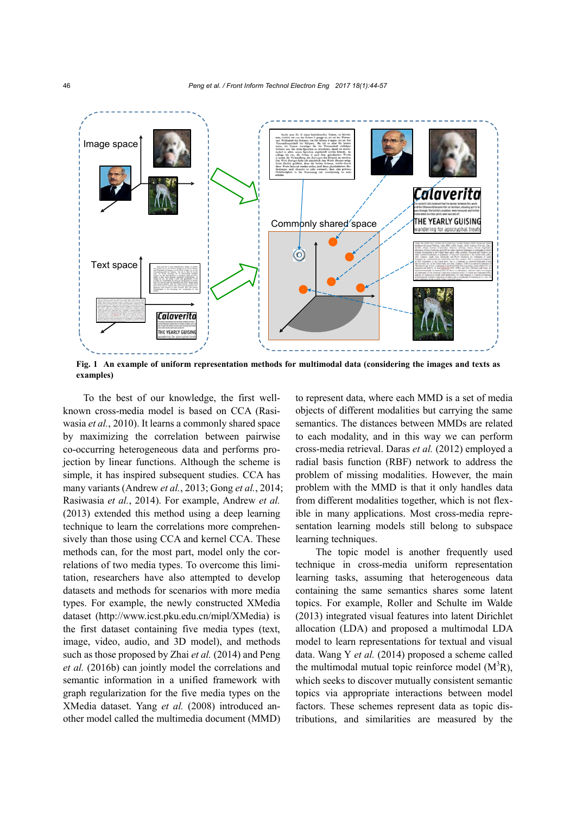

**Fig. 1 An example of uniform representation methods for multimodal data (considering the images and texts as examples)**

To the best of our knowledge, the first wellknown cross-media model is based on CCA (Rasiwasia *et al.*, 2010). It learns a commonly shared space by maximizing the correlation between pairwise co-occurring heterogeneous data and performs projection by linear functions. Although the scheme is simple, it has inspired subsequent studies. CCA has many variants (Andrew *et al.*, 2013; Gong *et al.*, 2014; Rasiwasia *et al.*, 2014). For example, Andrew *et al.* (2013) extended this method using a deep learning technique to learn the correlations more comprehensively than those using CCA and kernel CCA. These methods can, for the most part, model only the correlations of two media types. To overcome this limitation, researchers have also attempted to develop datasets and methods for scenarios with more media types. For example, the newly constructed XMedia dataset (http://www.icst.pku.edu.cn/mipl/XMedia) is the first dataset containing five media types (text, image, video, audio, and 3D model), and methods such as those proposed by Zhai *et al.* (2014) and Peng *et al.* (2016b) can jointly model the correlations and semantic information in a unified framework with graph regularization for the five media types on the XMedia dataset. Yang *et al.* (2008) introduced another model called the multimedia document (MMD)

to represent data, where each MMD is a set of media objects of different modalities but carrying the same semantics. The distances between MMDs are related to each modality, and in this way we can perform cross-media retrieval. Daras *et al.* (2012) employed a radial basis function (RBF) network to address the problem of missing modalities. However, the main problem with the MMD is that it only handles data from different modalities together, which is not flexible in many applications. Most cross-media representation learning models still belong to subspace learning techniques.

The topic model is another frequently used technique in cross-media uniform representation learning tasks, assuming that heterogeneous data containing the same semantics shares some latent topics. For example, Roller and Schulte im Walde (2013) integrated visual features into latent Dirichlet allocation (LDA) and proposed a multimodal LDA model to learn representations for textual and visual data. Wang Y *et al.* (2014) proposed a scheme called the multimodal mutual topic reinforce model  $(M^3R)$ , which seeks to discover mutually consistent semantic topics via appropriate interactions between model factors. These schemes represent data as topic distributions, and similarities are measured by the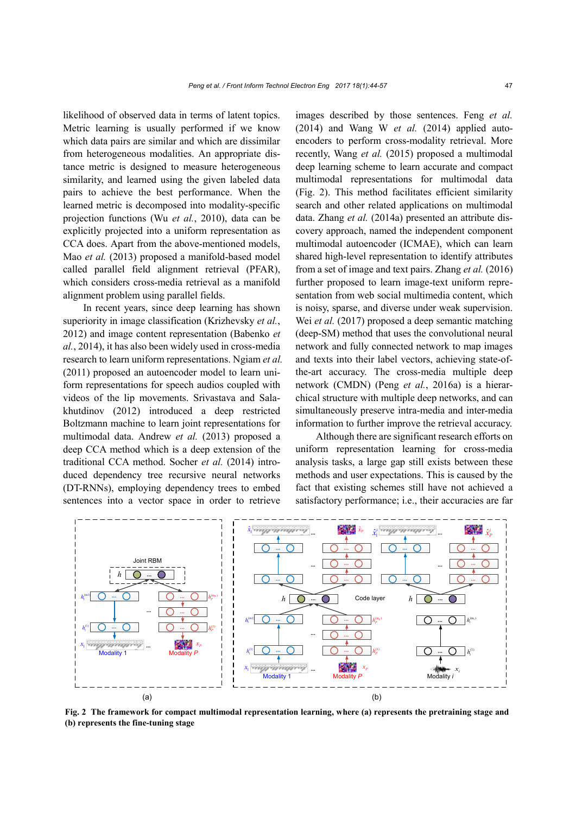likelihood of observed data in terms of latent topics. Metric learning is usually performed if we know which data pairs are similar and which are dissimilar from heterogeneous modalities. An appropriate distance metric is designed to measure heterogeneous similarity, and learned using the given labeled data pairs to achieve the best performance. When the learned metric is decomposed into modality-specific projection functions (Wu *et al.*, 2010), data can be explicitly projected into a uniform representation as CCA does. Apart from the above-mentioned models, Mao *et al.* (2013) proposed a manifold-based model called parallel field alignment retrieval (PFAR), which considers cross-media retrieval as a manifold alignment problem using parallel fields.

In recent years, since deep learning has shown superiority in image classification (Krizhevsky *et al.*, 2012) and image content representation (Babenko *et al.*, 2014), it has also been widely used in cross-media research to learn uniform representations. Ngiam *et al.* (2011) proposed an autoencoder model to learn uniform representations for speech audios coupled with videos of the lip movements. Srivastava and Salakhutdinov (2012) introduced a deep restricted Boltzmann machine to learn joint representations for multimodal data. Andrew *et al.* (2013) proposed a deep CCA method which is a deep extension of the traditional CCA method. Socher *et al.* (2014) introduced dependency tree recursive neural networks (DT-RNNs), employing dependency trees to embed sentences into a vector space in order to retrieve

images described by those sentences. Feng *et al.* (2014) and Wang W *et al.* (2014) applied autoencoders to perform cross-modality retrieval. More recently, Wang *et al.* (2015) proposed a multimodal deep learning scheme to learn accurate and compact multimodal representations for multimodal data (Fig. 2). This method facilitates efficient similarity search and other related applications on multimodal data. Zhang *et al.* (2014a) presented an attribute discovery approach, named the independent component multimodal autoencoder (ICMAE), which can learn shared high-level representation to identify attributes from a set of image and text pairs. Zhang *et al.* (2016) further proposed to learn image-text uniform representation from web social multimedia content, which is noisy, sparse, and diverse under weak supervision. Wei *et al.* (2017) proposed a deep semantic matching (deep-SM) method that uses the convolutional neural network and fully connected network to map images and texts into their label vectors, achieving state-ofthe-art accuracy. The cross-media multiple deep network (CMDN) (Peng *et al.*, 2016a) is a hierarchical structure with multiple deep networks, and can simultaneously preserve intra-media and inter-media information to further improve the retrieval accuracy.

Although there are significant research efforts on uniform representation learning for cross-media analysis tasks, a large gap still exists between these methods and user expectations. This is caused by the fact that existing schemes still have not achieved a satisfactory performance; i.e., their accuracies are far



**Fig. 2 The framework for compact multimodal representation learning, where (a) represents the pretraining stage and (b) represents the fine-tuning stage**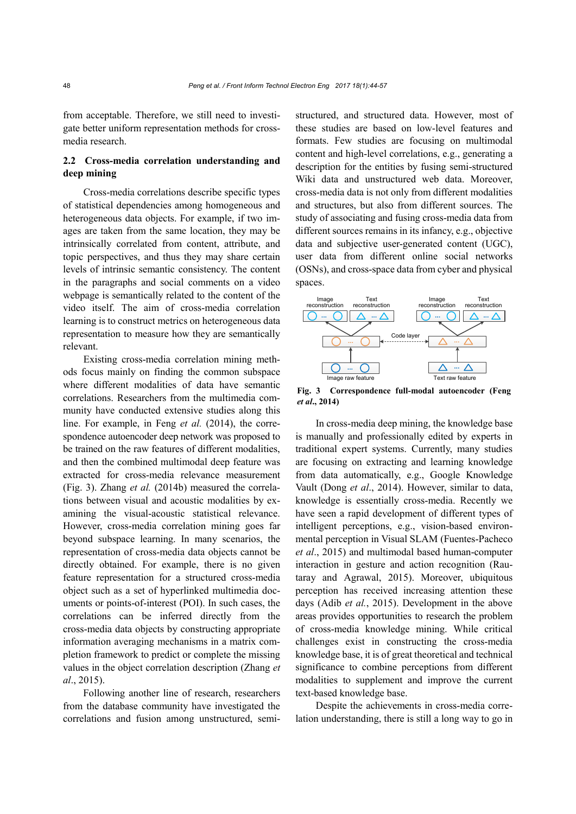from acceptable. Therefore, we still need to investigate better uniform representation methods for crossmedia research.

# **2.2 Cross-media correlation understanding and deep mining**

Cross-media correlations describe specific types of statistical dependencies among homogeneous and heterogeneous data objects. For example, if two images are taken from the same location, they may be intrinsically correlated from content, attribute, and topic perspectives, and thus they may share certain levels of intrinsic semantic consistency. The content in the paragraphs and social comments on a video webpage is semantically related to the content of the video itself. The aim of cross-media correlation learning is to construct metrics on heterogeneous data representation to measure how they are semantically relevant.

Existing cross-media correlation mining methods focus mainly on finding the common subspace where different modalities of data have semantic correlations. Researchers from the multimedia community have conducted extensive studies along this line. For example, in Feng *et al.* (2014), the correspondence autoencoder deep network was proposed to be trained on the raw features of different modalities, and then the combined multimodal deep feature was extracted for cross-media relevance measurement (Fig. 3). Zhang *et al.* (2014b) measured the correlations between visual and acoustic modalities by examining the visual-acoustic statistical relevance. However, cross-media correlation mining goes far beyond subspace learning. In many scenarios, the representation of cross-media data objects cannot be directly obtained. For example, there is no given feature representation for a structured cross-media object such as a set of hyperlinked multimedia documents or points-of-interest (POI). In such cases, the correlations can be inferred directly from the cross-media data objects by constructing appropriate information averaging mechanisms in a matrix completion framework to predict or complete the missing values in the object correlation description (Zhang *et al*., 2015).

Following another line of research, researchers from the database community have investigated the correlations and fusion among unstructured, semistructured, and structured data. However, most of these studies are based on low-level features and formats. Few studies are focusing on multimodal content and high-level correlations, e.g., generating a description for the entities by fusing semi-structured Wiki data and unstructured web data. Moreover, cross-media data is not only from different modalities and structures, but also from different sources. The study of associating and fusing cross-media data from different sources remains in its infancy, e.g., objective data and subjective user-generated content (UGC), user data from different online social networks (OSNs), and cross-space data from cyber and physical spaces.



**Fig. 3 Correspondence full-modal autoencoder (Feng**  *et al***., 2014)**

In cross-media deep mining, the knowledge base is manually and professionally edited by experts in traditional expert systems. Currently, many studies are focusing on extracting and learning knowledge from data automatically, e.g., Google Knowledge Vault (Dong *et al*., 2014). However, similar to data, knowledge is essentially cross-media. Recently we have seen a rapid development of different types of intelligent perceptions, e.g., vision-based environmental perception in Visual SLAM (Fuentes-Pacheco *et al*., 2015) and multimodal based human-computer interaction in gesture and action recognition (Rautaray and Agrawal, 2015). Moreover, ubiquitous perception has received increasing attention these days (Adib *et al.*, 2015). Development in the above areas provides opportunities to research the problem of cross-media knowledge mining. While critical challenges exist in constructing the cross-media knowledge base, it is of great theoretical and technical significance to combine perceptions from different modalities to supplement and improve the current text-based knowledge base.

Despite the achievements in cross-media correlation understanding, there is still a long way to go in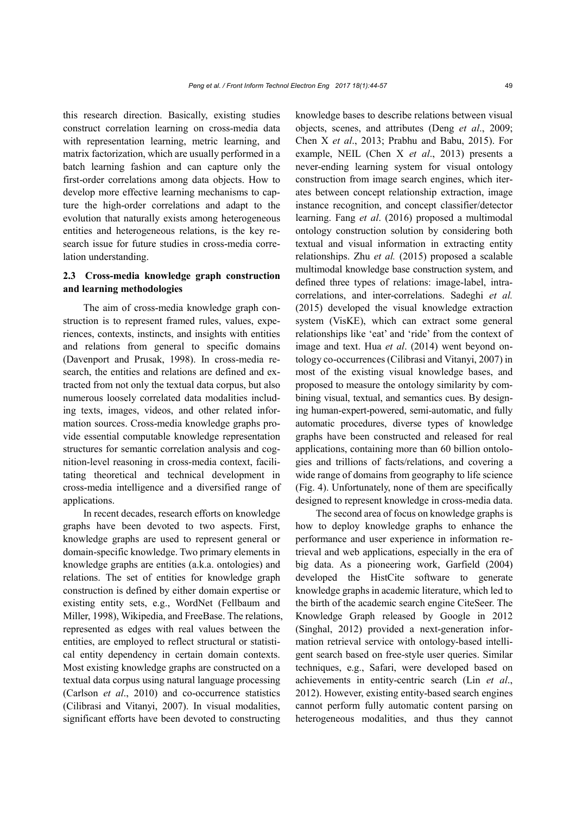this research direction. Basically, existing studies construct correlation learning on cross-media data with representation learning, metric learning, and matrix factorization, which are usually performed in a batch learning fashion and can capture only the first-order correlations among data objects. How to develop more effective learning mechanisms to capture the high-order correlations and adapt to the evolution that naturally exists among heterogeneous entities and heterogeneous relations, is the key research issue for future studies in cross-media correlation understanding.

## **2.3 Cross-media knowledge graph construction and learning methodologies**

The aim of cross-media knowledge graph construction is to represent framed rules, values, experiences, contexts, instincts, and insights with entities and relations from general to specific domains (Davenport and Prusak, 1998). In cross-media research, the entities and relations are defined and extracted from not only the textual data corpus, but also numerous loosely correlated data modalities including texts, images, videos, and other related information sources. Cross-media knowledge graphs provide essential computable knowledge representation structures for semantic correlation analysis and cognition-level reasoning in cross-media context, facilitating theoretical and technical development in cross-media intelligence and a diversified range of applications.

In recent decades, research efforts on knowledge graphs have been devoted to two aspects. First, knowledge graphs are used to represent general or domain-specific knowledge. Two primary elements in knowledge graphs are entities (a.k.a. ontologies) and relations. The set of entities for knowledge graph construction is defined by either domain expertise or existing entity sets, e.g., WordNet (Fellbaum and Miller, 1998), Wikipedia, and FreeBase. The relations, represented as edges with real values between the entities, are employed to reflect structural or statistical entity dependency in certain domain contexts. Most existing knowledge graphs are constructed on a textual data corpus using natural language processing (Carlson *et al*., 2010) and co-occurrence statistics (Cilibrasi and Vitanyi, 2007). In visual modalities, significant efforts have been devoted to constructing

knowledge bases to describe relations between visual objects, scenes, and attributes (Deng *et al*., 2009; Chen X *et al*., 2013; Prabhu and Babu, 2015). For example, NEIL (Chen X *et al*., 2013) presents a never-ending learning system for visual ontology construction from image search engines, which iterates between concept relationship extraction, image instance recognition, and concept classifier/detector learning. Fang *et al*. (2016) proposed a multimodal ontology construction solution by considering both textual and visual information in extracting entity relationships. Zhu *et al.* (2015) proposed a scalable multimodal knowledge base construction system, and defined three types of relations: image-label, intracorrelations, and inter-correlations. Sadeghi *et al.* (2015) developed the visual knowledge extraction system (VisKE), which can extract some general relationships like 'eat' and 'ride' from the context of image and text. Hua *et al*. (2014) went beyond ontology co-occurrences (Cilibrasi and Vitanyi, 2007) in most of the existing visual knowledge bases, and proposed to measure the ontology similarity by combining visual, textual, and semantics cues. By designing human-expert-powered, semi-automatic, and fully automatic procedures, diverse types of knowledge graphs have been constructed and released for real applications, containing more than 60 billion ontologies and trillions of facts/relations, and covering a wide range of domains from geography to life science (Fig. 4). Unfortunately, none of them are specifically designed to represent knowledge in cross-media data.

The second area of focus on knowledge graphs is how to deploy knowledge graphs to enhance the performance and user experience in information retrieval and web applications, especially in the era of big data. As a pioneering work, Garfield (2004) developed the HistCite software to generate knowledge graphs in academic literature, which led to the birth of the academic search engine CiteSeer. The Knowledge Graph released by Google in 2012 (Singhal, 2012) provided a next-generation information retrieval service with ontology-based intelligent search based on free-style user queries. Similar techniques, e.g., Safari, were developed based on achievements in entity-centric search (Lin *et al*., 2012). However, existing entity-based search engines cannot perform fully automatic content parsing on heterogeneous modalities, and thus they cannot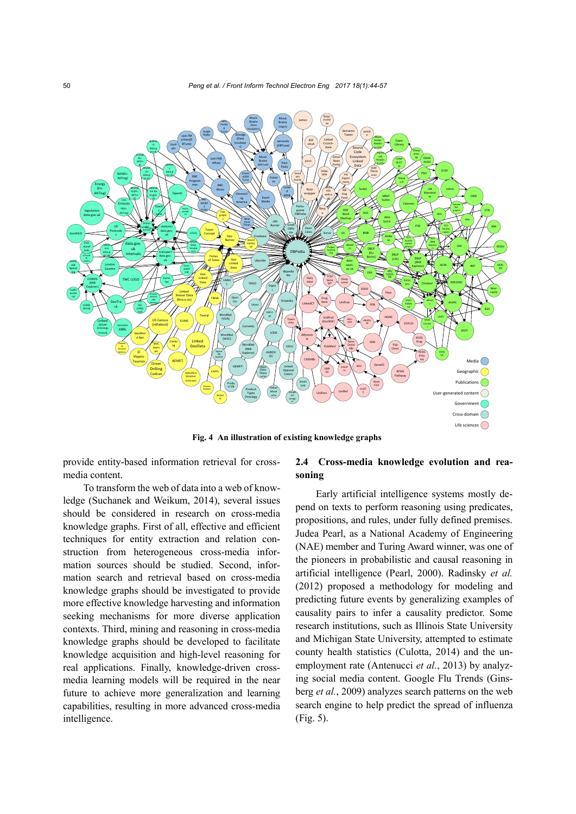

**Fig. 4 An illustration of existing knowledge graphs**

provide entity-based information retrieval for crossmedia content.

To transform the web of data into a web of knowledge (Suchanek and Weikum, 2014), several issues should be considered in research on cross-media knowledge graphs. First of all, effective and efficient techniques for entity extraction and relation construction from heterogeneous cross-media information sources should be studied. Second, information search and retrieval based on cross-media knowledge graphs should be investigated to provide more effective knowledge harvesting and information seeking mechanisms for more diverse application contexts. Third, mining and reasoning in cross-media knowledge graphs should be developed to facilitate knowledge acquisition and high-level reasoning for real applications. Finally, knowledge-driven crossmedia learning models will be required in the near future to achieve more generalization and learning capabilities, resulting in more advanced cross-media intelligence.

## **2.4 Cross-media knowledge evolution and reasoning**

Early artificial intelligence systems mostly depend on texts to perform reasoning using predicates, propositions, and rules, under fully defined premises. Judea Pearl, as a National Academy of Engineering (NAE) member and Turing Award winner, was one of the pioneers in probabilistic and causal reasoning in artificial intelligence (Pearl, 2000). Radinsky *et al.* (2012) proposed a methodology for modeling and predicting future events by generalizing examples of causality pairs to infer a causality predictor. Some research institutions, such as Illinois State University and Michigan State University, attempted to estimate county health statistics (Culotta, 2014) and the unemployment rate (Antenucci *et al.*, 2013) by analyzing social media content. Google Flu Trends (Ginsberg *et al.*, 2009) analyzes search patterns on the web search engine to help predict the spread of influenza (Fig. 5).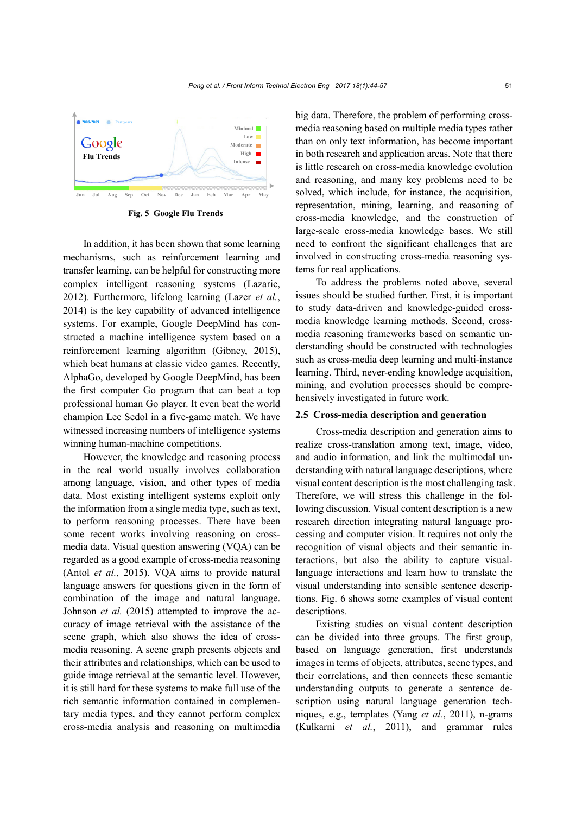

**Fig. 5 Google Flu Trends**

In addition, it has been shown that some learning mechanisms, such as reinforcement learning and transfer learning, can be helpful for constructing more complex intelligent reasoning systems (Lazaric, 2012). Furthermore, lifelong learning (Lazer *et al.*, 2014) is the key capability of advanced intelligence systems. For example, Google DeepMind has constructed a machine intelligence system based on a reinforcement learning algorithm (Gibney, 2015), which beat humans at classic video games. Recently, AlphaGo, developed by Google DeepMind, has been the first computer Go program that can beat a top professional human Go player. It even beat the world champion Lee Sedol in a five-game match. We have witnessed increasing numbers of intelligence systems winning human-machine competitions.

However, the knowledge and reasoning process in the real world usually involves collaboration among language, vision, and other types of media data. Most existing intelligent systems exploit only the information from a single media type, such as text, to perform reasoning processes. There have been some recent works involving reasoning on crossmedia data. Visual question answering (VQA) can be regarded as a good example of cross-media reasoning (Antol *et al.*, 2015). VQA aims to provide natural language answers for questions given in the form of combination of the image and natural language. Johnson *et al.* (2015) attempted to improve the accuracy of image retrieval with the assistance of the scene graph, which also shows the idea of crossmedia reasoning. A scene graph presents objects and their attributes and relationships, which can be used to guide image retrieval at the semantic level. However, it is still hard for these systems to make full use of the rich semantic information contained in complementary media types, and they cannot perform complex cross-media analysis and reasoning on multimedia

big data. Therefore, the problem of performing crossmedia reasoning based on multiple media types rather than on only text information, has become important in both research and application areas. Note that there is little research on cross-media knowledge evolution and reasoning, and many key problems need to be solved, which include, for instance, the acquisition, representation, mining, learning, and reasoning of cross-media knowledge, and the construction of large-scale cross-media knowledge bases. We still need to confront the significant challenges that are involved in constructing cross-media reasoning systems for real applications.

To address the problems noted above, several issues should be studied further. First, it is important to study data-driven and knowledge-guided crossmedia knowledge learning methods. Second, crossmedia reasoning frameworks based on semantic understanding should be constructed with technologies such as cross-media deep learning and multi-instance learning. Third, never-ending knowledge acquisition, mining, and evolution processes should be comprehensively investigated in future work.

#### **2.5 Cross-media description and generation**

Cross-media description and generation aims to realize cross-translation among text, image, video, and audio information, and link the multimodal understanding with natural language descriptions, where visual content description is the most challenging task. Therefore, we will stress this challenge in the following discussion. Visual content description is a new research direction integrating natural language processing and computer vision. It requires not only the recognition of visual objects and their semantic interactions, but also the ability to capture visuallanguage interactions and learn how to translate the visual understanding into sensible sentence descriptions. Fig. 6 shows some examples of visual content descriptions.

Existing studies on visual content description can be divided into three groups. The first group, based on language generation, first understands images in terms of objects, attributes, scene types, and their correlations, and then connects these semantic understanding outputs to generate a sentence description using natural language generation techniques, e.g., templates (Yang *et al.*, 2011), n-grams (Kulkarni *et al.*, 2011), and grammar rules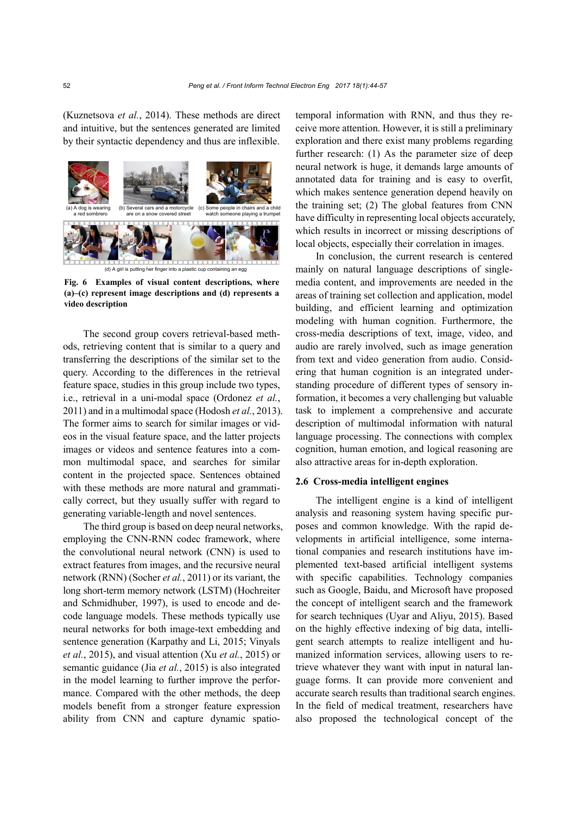(Kuznetsova *et al.*, 2014). These methods are direct and intuitive, but the sentences generated are limited by their syntactic dependency and thus are inflexible.



**Fig. 6 Examples of visual content descriptions, where (a)–(c) represent image descriptions and (d) represents a video description**

The second group covers retrieval-based methods, retrieving content that is similar to a query and transferring the descriptions of the similar set to the query. According to the differences in the retrieval feature space, studies in this group include two types, i.e., retrieval in a uni-modal space (Ordonez *et al.*, 2011) and in a multimodal space (Hodosh *et al.*, 2013). The former aims to search for similar images or videos in the visual feature space, and the latter projects images or videos and sentence features into a common multimodal space, and searches for similar content in the projected space. Sentences obtained with these methods are more natural and grammatically correct, but they usually suffer with regard to generating variable-length and novel sentences.

The third group is based on deep neural networks, employing the CNN-RNN codec framework, where the convolutional neural network (CNN) is used to extract features from images, and the recursive neural network (RNN) (Socher *et al.*, 2011) or its variant, the long short-term memory network (LSTM) (Hochreiter and Schmidhuber, 1997), is used to encode and decode language models. These methods typically use neural networks for both image-text embedding and sentence generation (Karpathy and Li, 2015; Vinyals *et al.*, 2015), and visual attention (Xu *et al.*, 2015) or semantic guidance (Jia *et al.*, 2015) is also integrated in the model learning to further improve the performance. Compared with the other methods, the deep models benefit from a stronger feature expression ability from CNN and capture dynamic spatiotemporal information with RNN, and thus they receive more attention. However, it is still a preliminary exploration and there exist many problems regarding further research: (1) As the parameter size of deep neural network is huge, it demands large amounts of annotated data for training and is easy to overfit, which makes sentence generation depend heavily on the training set; (2) The global features from CNN have difficulty in representing local objects accurately, which results in incorrect or missing descriptions of local objects, especially their correlation in images.

In conclusion, the current research is centered mainly on natural language descriptions of singlemedia content, and improvements are needed in the areas of training set collection and application, model building, and efficient learning and optimization modeling with human cognition. Furthermore, the cross-media descriptions of text, image, video, and audio are rarely involved, such as image generation from text and video generation from audio. Considering that human cognition is an integrated understanding procedure of different types of sensory information, it becomes a very challenging but valuable task to implement a comprehensive and accurate description of multimodal information with natural language processing. The connections with complex cognition, human emotion, and logical reasoning are also attractive areas for in-depth exploration.

## **2.6 Cross-media intelligent engines**

The intelligent engine is a kind of intelligent analysis and reasoning system having specific purposes and common knowledge. With the rapid developments in artificial intelligence, some international companies and research institutions have implemented text-based artificial intelligent systems with specific capabilities. Technology companies such as Google, Baidu, and Microsoft have proposed the concept of intelligent search and the framework for search techniques (Uyar and Aliyu, 2015). Based on the highly effective indexing of big data, intelligent search attempts to realize intelligent and humanized information services, allowing users to retrieve whatever they want with input in natural language forms. It can provide more convenient and accurate search results than traditional search engines. In the field of medical treatment, researchers have also proposed the technological concept of the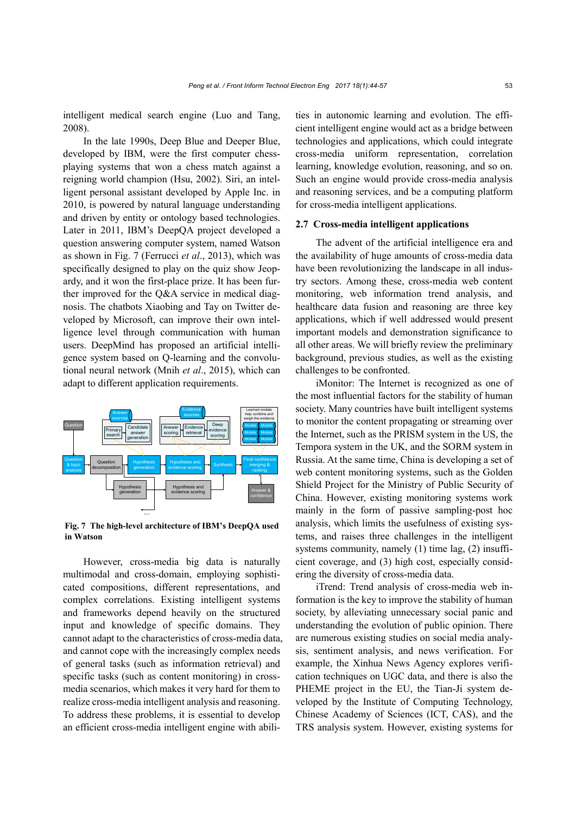intelligent medical search engine (Luo and Tang, 2008).

In the late 1990s, Deep Blue and Deeper Blue, developed by IBM, were the first computer chessplaying systems that won a chess match against a reigning world champion (Hsu, 2002). Siri, an intelligent personal assistant developed by Apple Inc. in 2010, is powered by natural language understanding and driven by entity or ontology based technologies. Later in 2011, IBM's DeepQA project developed a question answering computer system, named Watson as shown in Fig. 7 (Ferrucci *et al*., 2013), which was specifically designed to play on the quiz show Jeopardy, and it won the first-place prize. It has been further improved for the Q&A service in medical diagnosis. The chatbots Xiaobing and Tay on Twitter developed by Microsoft, can improve their own intelligence level through communication with human users. DeepMind has proposed an artificial intelligence system based on Q-learning and the convolutional neural network (Mnih *et al*., 2015), which can adapt to different application requirements.



**Fig. 7 The high-level architecture of IBM's DeepQA used in Watson**

However, cross-media big data is naturally multimodal and cross-domain, employing sophisticated compositions, different representations, and complex correlations. Existing intelligent systems and frameworks depend heavily on the structured input and knowledge of specific domains. They cannot adapt to the characteristics of cross-media data, and cannot cope with the increasingly complex needs of general tasks (such as information retrieval) and specific tasks (such as content monitoring) in crossmedia scenarios, which makes it very hard for them to realize cross-media intelligent analysis and reasoning. To address these problems, it is essential to develop an efficient cross-media intelligent engine with abilities in autonomic learning and evolution. The efficient intelligent engine would act as a bridge between technologies and applications, which could integrate cross-media uniform representation, correlation learning, knowledge evolution, reasoning, and so on. Such an engine would provide cross-media analysis and reasoning services, and be a computing platform for cross-media intelligent applications.

#### **2.7 Cross-media intelligent applications**

The advent of the artificial intelligence era and the availability of huge amounts of cross-media data have been revolutionizing the landscape in all industry sectors. Among these, cross-media web content monitoring, web information trend analysis, and healthcare data fusion and reasoning are three key applications, which if well addressed would present important models and demonstration significance to all other areas. We will briefly review the preliminary background, previous studies, as well as the existing challenges to be confronted.

iMonitor: The Internet is recognized as one of the most influential factors for the stability of human society. Many countries have built intelligent systems to monitor the content propagating or streaming over the Internet, such as the PRISM system in the US, the Tempora system in the UK, and the SORM system in Russia. At the same time, China is developing a set of web content monitoring systems, such as the Golden Shield Project for the Ministry of Public Security of China. However, existing monitoring systems work mainly in the form of passive sampling-post hoc analysis, which limits the usefulness of existing systems, and raises three challenges in the intelligent systems community, namely (1) time lag, (2) insufficient coverage, and (3) high cost, especially considering the diversity of cross-media data.

iTrend: Trend analysis of cross-media web information is the key to improve the stability of human society, by alleviating unnecessary social panic and understanding the evolution of public opinion. There are numerous existing studies on social media analysis, sentiment analysis, and news verification. For example, the Xinhua News Agency explores verification techniques on UGC data, and there is also the PHEME project in the EU, the Tian-Ji system developed by the Institute of Computing Technology, Chinese Academy of Sciences (ICT, CAS), and the TRS analysis system. However, existing systems for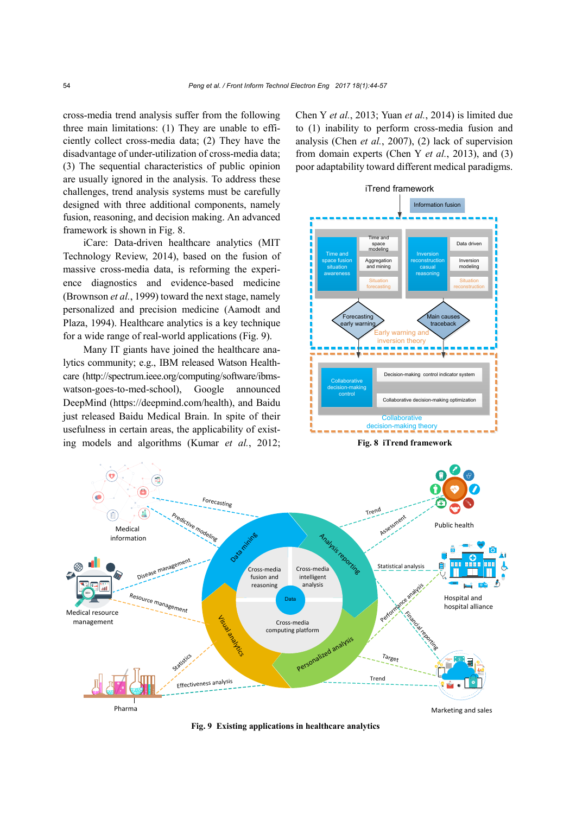cross-media trend analysis suffer from the following three main limitations: (1) They are unable to efficiently collect cross-media data; (2) They have the disadvantage of under-utilization of cross-media data; (3) The sequential characteristics of public opinion are usually ignored in the analysis. To address these challenges, trend analysis systems must be carefully designed with three additional components, namely fusion, reasoning, and decision making. An advanced framework is shown in Fig. 8.

iCare: Data-driven healthcare analytics (MIT Technology Review, 2014), based on the fusion of massive cross-media data, is reforming the experience diagnostics and evidence-based medicine (Brownson *et al.*, 1999) toward the next stage, namely personalized and precision medicine (Aamodt and Plaza, 1994). Healthcare analytics is a key technique for a wide range of real-world applications (Fig. 9).

Many IT giants have joined the healthcare analytics community; e.g., IBM released Watson Healthcare [\(http://spectrum.ieee.org/computing/s](http://spectrum.ieee.org/computing/)oftware/ibmswatson-goes-to-med-school), Google announced DeepMind (https://deepmind.com/health), and Baidu just released Baidu Medical Brain. In spite of their usefulness in certain areas, the applicability of existing models and algorithms (Kumar *et al.*, 2012; Chen Y *et al.*, 2013; Yuan *et al.*, 2014) is limited due to (1) inability to perform cross-media fusion and analysis (Chen *et al.*, 2007), (2) lack of supervision from domain experts (Chen Y *et al.*, 2013), and (3) poor adaptability toward different medical paradigms.



**Fig. 8 iTrend framework**



**Fig. 9 Existing applications in healthcare analytics**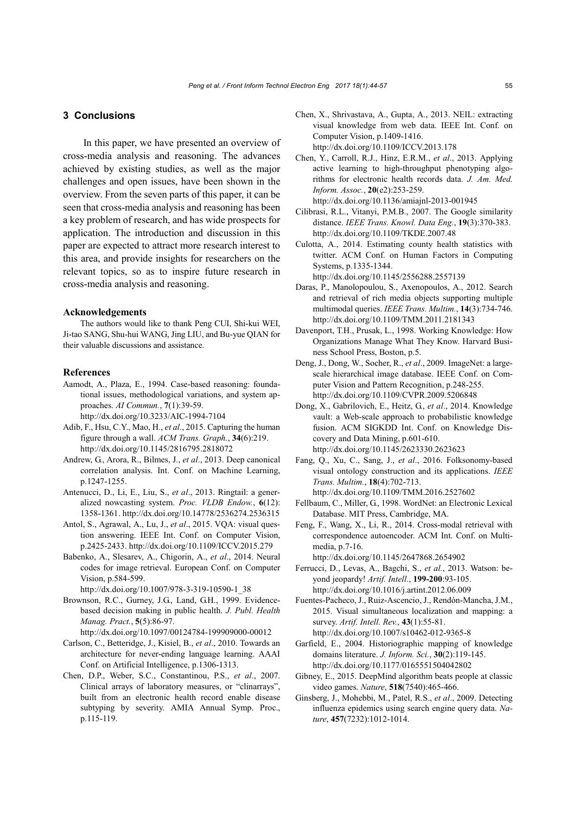## **3 Conclusions**

In this paper, we have presented an overview of cross-media analysis and reasoning. The advances achieved by existing studies, as well as the major challenges and open issues, have been shown in the overview. From the seven parts of this paper, it can be seen that cross-media analysis and reasoning has been a key problem of research, and has wide prospects for application. The introduction and discussion in this paper are expected to attract more research interest to this area, and provide insights for researchers on the relevant topics, so as to inspire future research in cross-media analysis and reasoning.

## **Acknowledgements**

The authors would like to thank Peng CUI, Shi-kui WEI, Ji-tao SANG, Shu-hui WANG, Jing LIU, and Bu-yue QIAN for their valuable discussions and assistance.

#### **References**

- Aamodt, A., Plaza, E., 1994. Case-based reasoning: foundational issues, methodological variations, and system approaches. *AI Commun.*, **7**(1):39-59. http://dx.doi.org/10.3233/AIC-1994-7104
- Adib, F., Hsu, C.Y., Mao, H., *et al*., 2015. Capturing the human figure through a wall. *ACM Trans. Graph.*, **34**(6):219. http://dx.doi.org/10.1145/2816795.2818072
- Andrew, G., Arora, R., Bilmes, J., *et al*., 2013. Deep canonical correlation analysis. Int. Conf. on Machine Learning, p.1247-1255.
- Antenucci, D., Li, E., Liu, S., *et al*., 2013. Ringtail: a generalized nowcasting system. *Proc. VLDB Endow.*, **6**(12): 1358-1361. http://dx.doi.org/10.14778/2536274.2536315
- Antol, S., Agrawal, A., Lu, J., *et al*., 2015. VQA: visual question answering. IEEE Int. Conf. on Computer Vision, p.2425-2433. http://dx.doi.org/10.1109/ICCV.2015.279
- Babenko, A., Slesarev, A., Chigorin, A., *et al*., 2014. Neural codes for image retrieval. European Conf. on Computer Vision, p.584-599.

http://dx.doi.org/10.1007/978-3-319-10590-1\_38

- Brownson, R.C., Gurney, J.G., Land, G.H., 1999. Evidencebased decision making in public health. *J. Publ. Health Manag. Pract.*, **5**(5):86-97. http://dx.doi.org/10.1097/00124784-199909000-00012
- Carlson, C., Betteridge, J., Kisiel, B., *et al*., 2010. Towards an architecture for never-ending language learning. AAAI Conf. on Artificial Intelligence, p.1306-1313.
- Chen, D.P., Weber, S.C., Constantinou, P.S., *et al*., 2007. Clinical arrays of laboratory measures, or "clinarrays", built from an electronic health record enable disease subtyping by severity. AMIA Annual Symp. Proc., p.115-119.
- Chen, X., Shrivastava, A., Gupta, A., 2013. NEIL: extracting visual knowledge from web data. IEEE Int. Conf. on Computer Vision, p.1409-1416. http://dx.doi.org/10.1109/ICCV.2013.178
- Chen, Y., Carroll, R.J., Hinz, E.R.M., *et al*., 2013. Applying active learning to high-throughput phenotyping algorithms for electronic health records data. *J. Am. Med. Inform. Assoc.*, **20**(e2):253-259. http://dx.doi.org/10.1136/amiajnl-2013-001945
- Cilibrasi, R.L., Vitanyi, P.M.B., 2007. The Google similarity distance. *IEEE Trans. Knowl. Data Eng.*, **19**(3):370-383. http://dx.doi.org/10.1109/TKDE.2007.48
- Culotta, A., 2014. Estimating county health statistics with twitter. ACM Conf. on Human Factors in Computing Systems, p.1335-1344. http://dx.doi.org/10.1145/2556288.2557139
- Daras, P., Manolopoulou, S., Axenopoulos, A., 2012. Search and retrieval of rich media objects supporting multiple multimodal queries. *IEEE Trans. Multim.*, **14**(3):734-746. http://dx.doi.org/10.1109/TMM.2011.2181343
- Davenport, T.H., Prusak, L., 1998. Working Knowledge: How Organizations Manage What They Know. Harvard Business School Press, Boston, p.5.
- Deng, J., Dong, W., Socher, R., *et al*., 2009. ImageNet: a largescale hierarchical image database. IEEE Conf. on Computer Vision and Pattern Recognition, p.248-255. http://dx.doi.org/10.1109/CVPR.2009.5206848
- Dong, X., Gabrilovich, E., Heitz, G., *et al*., 2014. Knowledge vault: a Web-scale approach to probabilistic knowledge fusion. ACM SIGKDD Int. Conf. on Knowledge Discovery and Data Mining, p.601-610. http://dx.doi.org/10.1145/2623330.2623623
- Fang, Q., Xu, C., Sang, J., *et al*., 2016. Folksonomy-based visual ontology construction and its applications. *IEEE Trans. Multim.*, **18**(4):702-713. http://dx.doi.org/10.1109/TMM.2016.2527602
- Fellbaum, C., Miller, G., 1998. WordNet: an Electronic Lexical Database. MIT Press, Cambridge, MA.
- Feng, F., Wang, X., Li, R., 2014. Cross-modal retrieval with correspondence autoencoder. ACM Int. Conf. on Multimedia, p.7-16.
	- http://dx.doi.org/10.1145/2647868.2654902
- Ferrucci, D., Levas, A., Bagchi, S., *et al.*, 2013. Watson: beyond jeopardy! *Artif. Intell.*, **199-200**:93-105. http://dx.doi.org/10.1016/j.artint.2012.06.009
- Fuentes-Pacheco, J., Ruiz-Ascencio, J., Rendón-Mancha, J.M., 2015. Visual simultaneous localization and mapping: a survey. *Artif. Intell. Rev.*, **43**(1):55-81. http://dx.doi.org/10.1007/s10462-012-9365-8
- Garfield, E., 2004. Historiographic mapping of knowledge domains literature. *J. Inform. Sci.*, **30**(2):119-145. http://dx.doi.org/10.1177/0165551504042802
- Gibney, E., 2015. DeepMind algorithm beats people at classic video games. *Nature*, **518**(7540):465-466.
- Ginsberg, J., Mohebbi, M., Patel, R.S., *et al*., 2009. Detecting influenza epidemics using search engine query data. *Nature*, **457**(7232):1012-1014.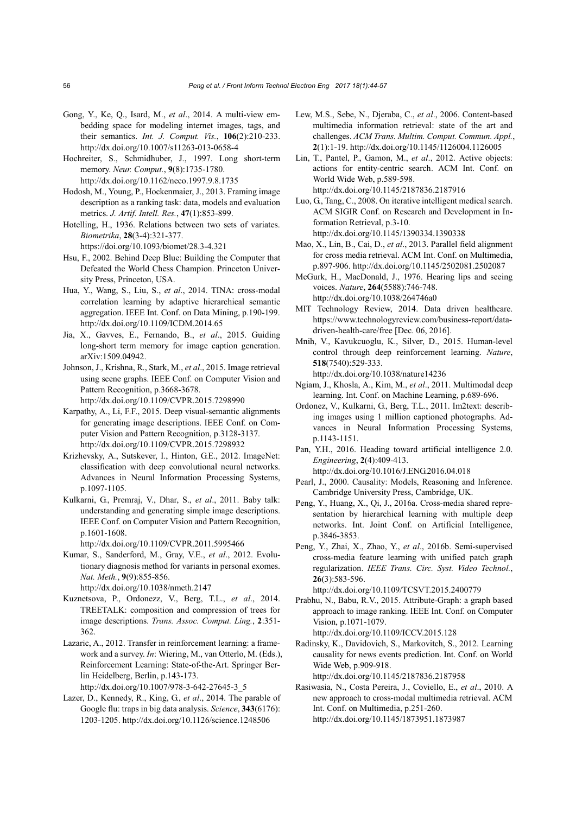- Gong, Y., Ke, Q., Isard, M., *et al*., 2014. A multi-view embedding space for modeling internet images, tags, and their semantics. *Int. J. Comput. Vis.*, **106**(2):210-233. http://dx.doi.org/10.1007/s11263-013-0658-4
- Hochreiter, S., Schmidhuber, J., 1997. Long short-term memory. *Neur. Comput.*, **9**(8):1735-1780. http://dx.doi.org/10.1162/neco.1997.9.8.1735
- Hodosh, M., Young, P., Hockenmaier, J., 2013. Framing image description as a ranking task: data, models and evaluation metrics. *J. Artif. Intell. Res.*, **47**(1):853-899.
- Hotelling, H., 1936. Relations between two sets of variates. *Biometrika*, **28**(3-4):321-377.
	- https://doi.org/10.1093/biomet/28.3-4.321
- Hsu, F., 2002. Behind Deep Blue: Building the Computer that Defeated the World Chess Champion. Princeton University Press, Princeton, USA.
- Hua, Y., Wang, S., Liu, S., *et al*., 2014. TINA: cross-modal correlation learning by adaptive hierarchical semantic aggregation. IEEE Int. Conf. on Data Mining, p.190-199. http://dx.doi.org/10.1109/ICDM.2014.65
- Jia, X., Gavves, E., Fernando, B., *et al*., 2015. Guiding long-short term memory for image caption generation. arXiv:1509.04942.
- Johnson, J., Krishna, R., Stark, M., *et al*., 2015. Image retrieval using scene graphs. IEEE Conf. on Computer Vision and Pattern Recognition, p.3668-3678. http://dx.doi.org/10.1109/CVPR.2015.7298990
- Karpathy, A., Li, F.F., 2015. Deep visual-semantic alignments for generating image descriptions. IEEE Conf. on Computer Vision and Pattern Recognition, p.3128-3137. http://dx.doi.org/10.1109/CVPR.2015.7298932
- Krizhevsky, A., Sutskever, I., Hinton, G.E., 2012. ImageNet: classification with deep convolutional neural networks. Advances in Neural Information Processing Systems, p.1097-1105.
- Kulkarni, G., Premraj, V., Dhar, S., *et al*., 2011. Baby talk: understanding and generating simple image descriptions. IEEE Conf. on Computer Vision and Pattern Recognition, p.1601-1608.

http://dx.doi.org/10.1109/CVPR.2011.5995466

- Kumar, S., Sanderford, M., Gray, V.E., *et al*., 2012. Evolutionary diagnosis method for variants in personal exomes. *Nat. Meth.*, **9**(9):855-856. http://dx.doi.org/10.1038/nmeth.2147
- Kuznetsova, P., Ordonezz, V., Berg, T.L., *et al*., 2014. TREETALK: composition and compression of trees for image descriptions. *Trans. Assoc. Comput. Ling.*, **2**:351- 362.
- Lazaric, A., 2012. Transfer in reinforcement learning: a framework and a survey. *In*: Wiering, M., van Otterlo, M. (Eds.), Reinforcement Learning: State-of-the-Art. Springer Berlin Heidelberg, Berlin, p.143-173. http://dx.doi.org/10.1007/978-3-642-27645-3\_5
- Lazer, D., Kennedy, R., King, G., *et al*., 2014. The parable of Google flu: traps in big data analysis. *Science*, **343**(6176): 1203-1205. http://dx.doi.org/10.1126/science.1248506
- Lew, M.S., Sebe, N., Djeraba, C., *et al*., 2006. Content-based multimedia information retrieval: state of the art and challenges. *ACM Trans. Multim. Comput. Commun. Appl.*, **2**(1):1-19. http://dx.doi.org/10.1145/1126004.1126005
- Lin, T., Pantel, P., Gamon, M., *et al*., 2012. Active objects: actions for entity-centric search. ACM Int. Conf. on World Wide Web, p.589-598. http://dx.doi.org/10.1145/2187836.2187916
- Luo, G., Tang, C., 2008. On iterative intelligent medical search. ACM SIGIR Conf. on Research and Development in Information Retrieval, p.3-10. http://dx.doi.org/10.1145/1390334.1390338
- Mao, X., Lin, B., Cai, D., *et al*., 2013. Parallel field alignment for cross media retrieval. ACM Int. Conf. on Multimedia, p.897-906. http://dx.doi.org/10.1145/2502081.2502087
- McGurk, H., MacDonald, J., 1976. Hearing lips and seeing voices. *Nature*, **264**(5588):746-748. http://dx.doi.org/10.1038/264746a0
- MIT Technology Review, 2014. Data driven healthcare. https://www.technologyreview.com/business-report/datadriven-health-care/free [Dec. 06, 2016].
- Mnih, V., Kavukcuoglu, K., Silver, D., 2015. Human-level control through deep reinforcement learning. *Nature*, **518**(7540):529-333.

http://dx.doi.org/10.1038/nature14236

- Ngiam, J., Khosla, A., Kim, M., *et al*., 2011. Multimodal deep learning. Int. Conf. on Machine Learning, p.689-696.
- Ordonez, V., Kulkarni, G., Berg, T.L., 2011. Im2text: describing images using 1 million captioned photographs. Advances in Neural Information Processing Systems, p.1143-1151.
- Pan, Y.H., 2016. Heading toward artificial intelligence 2.0. *Engineering*, **2**(4):409-413. http://dx.doi.org/10.1016/J.ENG.2016.04.018
- Pearl, J., 2000. Causality: Models, Reasoning and Inference. Cambridge University Press, Cambridge, UK.
- Peng, Y., Huang, X., Qi, J., 2016a. Cross-media shared representation by hierarchical learning with multiple deep networks. Int. Joint Conf. on Artificial Intelligence, p.3846-3853.
- Peng, Y., Zhai, X., Zhao, Y., *et al*., 2016b. Semi-supervised cross-media feature learning with unified patch graph regularization. *IEEE Trans. Circ. Syst. Video Technol.*, **26**(3):583-596.

http://dx.doi.org/10.1109/TCSVT.2015.2400779

- Prabhu, N., Babu, R.V., 2015. Attribute-Graph: a graph based approach to image ranking. IEEE Int. Conf. on Computer Vision, p.1071-1079. http://dx.doi.org/10.1109/ICCV.2015.128
- Radinsky, K., Davidovich, S., Markovitch, S., 2012. Learning causality for news events prediction. Int. Conf. on World Wide Web, p.909-918. http://dx.doi.org/10.1145/2187836.2187958
- Rasiwasia, N., Costa Pereira, J., Coviello, E., *et al*., 2010. A new approach to cross-modal multimedia retrieval. ACM Int. Conf. on Multimedia, p.251-260. http://dx.doi.org/10.1145/1873951.1873987